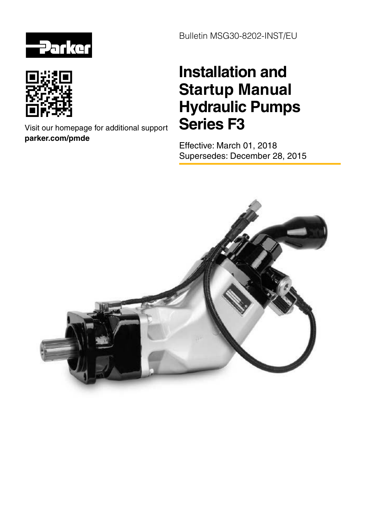



Visit our homepage for additional support **parker.com/pmde**

Bulletin MSG30-8202-INST/EU

# **Installation and Startup Manual Hydraulic Pumps** Series<sub>F3</sub>

Effective: March 01, 2018 Supersedes: December 28, 2015

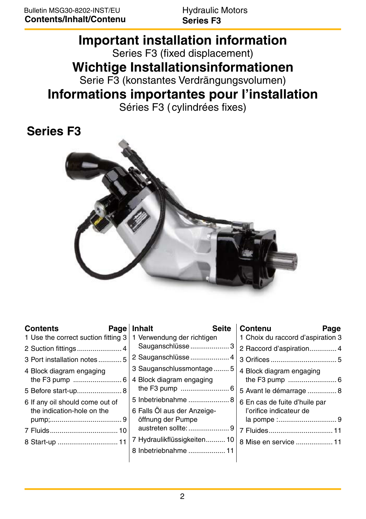**Hydraulic Motors Series F3** 

# **Important installation information** Series F3 (fixed displacement)

**Wichtige Installationsinformationen** 

Serie F3 (konstantes Verdrängungsvolumen)

## **Informations importantes pour l'installation**

Séries F3 (cylindrées fixes)

## **Series F3**



| <b>Contents</b>                     | <b>Page</b> | Inhalt                      | <b>Seite</b> | Contenu<br>Page                   |
|-------------------------------------|-------------|-----------------------------|--------------|-----------------------------------|
| 1 Use the correct suction fitting 3 |             | 1 Verwendung der richtigen  |              | 1 Choix du raccord d'aspiration 3 |
|                                     |             | Sauganschlüsse  3           |              | 2 Raccord d'aspiration 4          |
| 3 Port installation notes5          |             | 2 Sauganschlüsse  4         |              |                                   |
| 4 Block diagram engaging            |             | 3 Sauganschlussmontage5     |              | 4 Block diagram engaging          |
|                                     |             | 4 Block diagram engaging    |              |                                   |
| 5 Before start-up 8                 |             |                             |              | 5 Avant le démarrage  8           |
| 6 If any oil should come out of     |             | 5 Inbetriebnahme  8         |              | 6 En cas de fuite d'huile par     |
| the indication-hole on the          |             | 6 Falls Öl aus der Anzeige- |              | l'orifice indicateur de           |
|                                     |             | öffnung der Pumpe           |              |                                   |
|                                     |             | austreten sollte: 9         |              | 7 Fluides 11                      |
|                                     |             | 7 Hydraulikflüssigkeiten 10 |              | 8 Mise en service  11             |
|                                     |             | 8 Inbetriebnahme  11        |              |                                   |
|                                     |             |                             |              |                                   |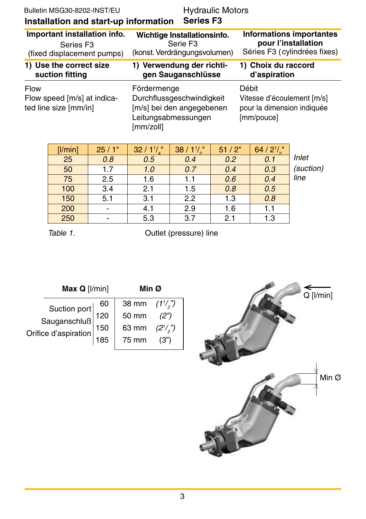| Bulletin MSG30-8202-INST/EU<br>Installation and start-up information | Hydraulic Motors<br><b>Series F3</b>                                                                      |                                                                                 |
|----------------------------------------------------------------------|-----------------------------------------------------------------------------------------------------------|---------------------------------------------------------------------------------|
| Important installation info.                                         | Wichtige Installationsinfo.                                                                               | <b>Informations importantes</b>                                                 |
| Series F <sub>3</sub>                                                | Serie F <sub>3</sub>                                                                                      | pour l'installation                                                             |
| (fixed displacement pumps)                                           | (konst. Verdrängungsvolumen)                                                                              | Séries F3 (cylindrées fixes)                                                    |
| 1) Use the correct size                                              | 1) Verwendung der richti-                                                                                 | 1) Choix du raccord                                                             |
| suction fitting                                                      | gen Sauganschlüsse                                                                                        | d'aspiration                                                                    |
| Flow<br>Flow speed [m/s] at indica-<br>ted line size [mm/in]         | Fördermenge<br>Durchflussgeschwindigkeit<br>[m/s] bei den angegebenen<br>Leitungsabmessungen<br>[mm/zoll] | Débit<br>Vitesse d'écoulement [m/s]<br>pour la dimension indiquée<br>[mm/pouce] |

| $[$ l/min $]$ | 25/1"                    | 32/11/ | $38/1$ <sup>1</sup> / <sub>2</sub> | 51/2" | 64 / $2^{1}/$ " |           |
|---------------|--------------------------|--------|------------------------------------|-------|-----------------|-----------|
| 25            | 0.8                      | 0.5    | 0.4                                | 0.2   | 0.1             | Inlet     |
| 50            | 1.7                      | 1.0    | 0.7                                | 0.4   | 0.3             | (suction) |
| 75            | 2.5                      | 1.6    | 1.1                                | 0.6   | 0.4             | line      |
| 100           | 3.4                      | 2.1    | 1.5                                | 0.8   | 0.5             |           |
| 150           | 5.1                      | 3.1    | 2.2                                | 1.3   | 0.8             |           |
| 200           | $\overline{\phantom{a}}$ | 4.1    | 2.9                                | 1.6   | 1.1             |           |
| 250           | $\overline{\phantom{0}}$ | 5.3    | 3.7                                | 2.1   | 1.3             |           |

Table 1. Cutlet (pressure) line

| Max Q [I/min]                                        |  | Min Ø                    |             |  |
|------------------------------------------------------|--|--------------------------|-------------|--|
| Suction port<br>Sauganschluß<br>Jrifice d'aspiration |  | 38 mm $(1^{1}/_{2})^{n}$ |             |  |
|                                                      |  | 50 mm                    | (2")        |  |
|                                                      |  | 63 mm                    | $(2^{1/2})$ |  |
|                                                      |  | 75 mm                    |             |  |

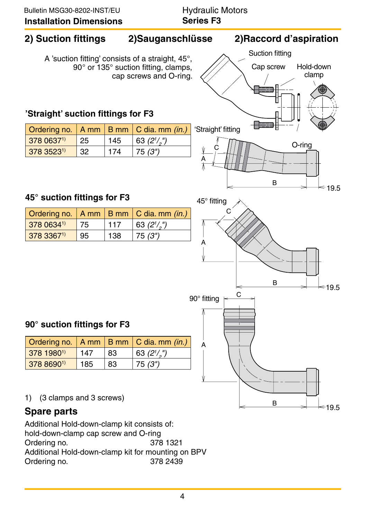#### **2) Suction fittings 2)Sauganschlüsse 2)Raccordd'aspiration 'Straight'** suction fittings for F3 **45° suction fittings forF3 90° suction fittings forF3** A 'suction fitting' consists of a straight, 45°, 90° or 135° suction fitting, clamps, cap screws and O-ring. **Spare parts** Additional Hold-down-clamp kit consists of: C C  $\overline{C}$ A A A B B B Suction fitting Cap screw Hold-down clamp O-ring 'Straight' fitting 45° fitting 90° fitting 19.5 19.5 19.5 1) (3 clamps and 3 screws) Ordering no.  $A$  mm  $B$  mm  $C$  dia. mm (in.)  $378.0637^{1}$  | 25 | 145  $\binom{n}{2}$  $3783523^{1}$  32 174 75(3") Ordering no.  $A \text{mm}$  B mm  $C \text{dia. mm}$  (in.)  $3781980^{1}$  147 83  $\binom{n}{2}$  $3788690^{1}$  185 83 75(3") Ordering no.  $A \text{mm}$  B mm  $C \text{dia. mm}$  (in.)  $3780634$ <sup>1)</sup> 75 117  $\binom{n}{2}$  $3783367^{1}$  95 138 75(3")

hold-down-clamp cap screw and O-ring Ordering no. 378 1321 Additional Hold-down-clamp kit for mounting on BPV Ordering no. 378 2439

A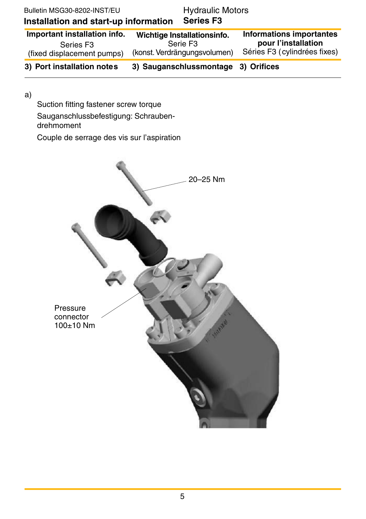| 3) Port installation notes                                                          |                                                                                     | 3) Sauganschlussmontage 3) Orifices |                                                                                 |  |
|-------------------------------------------------------------------------------------|-------------------------------------------------------------------------------------|-------------------------------------|---------------------------------------------------------------------------------|--|
| Important installation info.<br>Series F <sub>3</sub><br>(fixed displacement pumps) | Wichtige Installationsinfo.<br>Serie F <sub>3</sub><br>(konst. Verdrängungsvolumen) |                                     | Informations importantes<br>pour l'installation<br>Séries F3 (cylindrées fixes) |  |
| Installation and start-up information                                               |                                                                                     | <b>Series F3</b>                    |                                                                                 |  |
| Bulletin MSG30-8202-INST/EU                                                         |                                                                                     | <b>Hydraulic Motors</b>             |                                                                                 |  |

 $a)$ 

Suction fitting fastener screw torque Sauganschlussbefestigung: Schraubendrehmoment Couple de serrage des vis sur l'aspiration

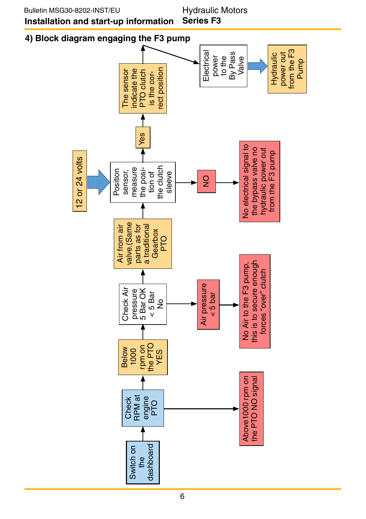**Hydraulic Motors** Series F<sub>3</sub>

### 4) Block diagram engaging the F3 pump

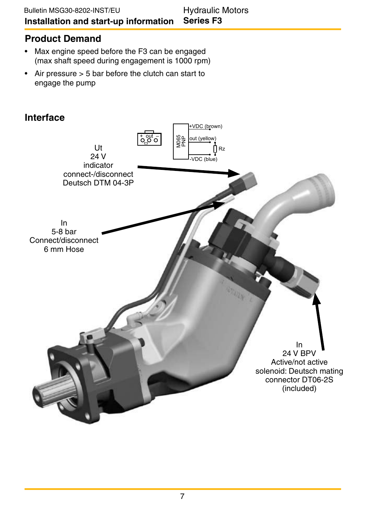#### **Product Demand**

- Max engine speed before the F3 can be engaged (max shaft speed during engagement is 1000 rpm)
- Air pressure  $> 5$  bar before the clutch can start to engage the pump

#### **Interface**

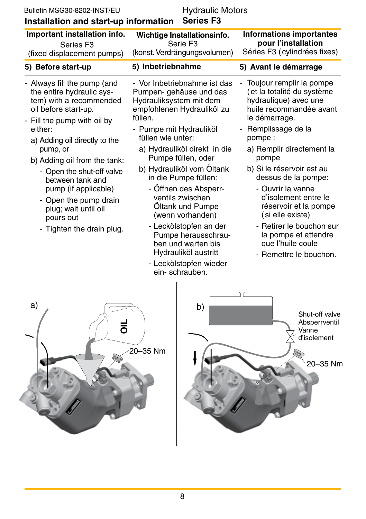| Bulletin MSG30-8202-INST/EU<br>Installation and start-up information                                                                       | <b>Hydraulic Motors</b>                                                                                                     |                                                                                                                             |
|--------------------------------------------------------------------------------------------------------------------------------------------|-----------------------------------------------------------------------------------------------------------------------------|-----------------------------------------------------------------------------------------------------------------------------|
| Important installation info.<br>Series F <sub>3</sub><br>(fixed displacement pumps)                                                        | Wichtige Installationsinfo.<br>Serie F <sub>3</sub><br>(konst. Verdrängungsvolumen)                                         | Informations importantes<br>pour l'installation<br>Séries F3 (cylindrées fixes)                                             |
| 5) Before start-up                                                                                                                         | 5) Inbetriebnahme                                                                                                           | 5) Avant le démarrage                                                                                                       |
| - Always fill the pump (and<br>the entire hydraulic sys-<br>tem) with a recommended<br>oil before start-up.<br>- Fill the pump with oil by | - Vor Inbetriebnahme ist das<br>Pumpen- gehäuse und das<br>Hydrauliksystem mit dem<br>empfohlenen Hydrauliköl zu<br>füllen. | Toujour remplir la pompe<br>(et la totalité du système<br>hydraulique) avec une<br>huile recommandée avant<br>le démarrage. |
| either:<br>a) Adding oil directly to the                                                                                                   | - Pumpe mit Hydrauliköl<br>füllen wie unter:                                                                                | Remplissage de la<br>pompe:                                                                                                 |
| pump, or<br>b) Adding oil from the tank:<br>- Open the shut-off valve<br>between tank and                                                  | a) Hydrauliköl direkt in die<br>Pumpe füllen, oder                                                                          | a) Remplir directement la<br>pompe                                                                                          |
|                                                                                                                                            | b) Hydrauliköl vom Öltank<br>in die Pumpe füllen:                                                                           | b) Si le réservoir est au<br>dessus de la pompe:                                                                            |
| pump (if applicable)<br>- Open the pump drain<br>plug; wait until oil<br>pours out                                                         | - Offnen des Absperr-<br>ventils zwischen<br>Öltank und Pumpe<br>(wenn vorhanden)<br>- Leckölstopfen an der                 | - Ouvrir la vanne<br>d'isolement entre le<br>réservoir et la pompe<br>(si elle existe)<br>- Retirer le bouchon sur          |
| - Tighten the drain plug.                                                                                                                  | Pumpe herausschrau-<br>ben und warten bis                                                                                   | la pompe et attendre<br>que l'huile coule                                                                                   |

- Leckölstopfen wieder<br>ein- schrauben.

Hydrauliköl austritt

- que l'huile coule
- Remettre le bouchon.



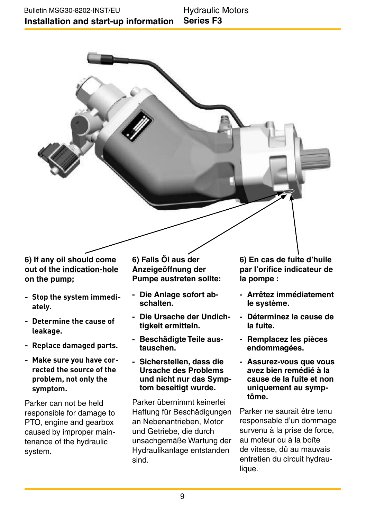6) If any oil should come out of the indication-hole on the pump:

- Stop the system immediately.
- Determine the cause of leakage.
- Replace damaged parts.
- Make sure you have corrected the source of the problem, not only the symptom.

Parker can not be held responsible for damage to PTO, engine and gearbox caused by improper maintenance of the hydraulic system.

6) Falls Öl aus der Anzeigeöffnung der Pumpe austreten sollte:

- Die Anlage sofort abschalten.
- Die Ursache der Undichtigkeit ermitteln.
- Beschädigte Teile austauschen
- Sicherstellen, dass die **Ursache des Problems** und nicht nur das Symptom beseitigt wurde.

Parker übernimmt keinerlei Haftung für Beschädigungen an Nebenantrieben. Motor und Getriebe, die durch unsachgemäße Wartung der Hydraulikanlage entstanden sind

6) En cas de fuite d'huile par l'orifice indicateur de la pompe:

- Arrêtez immédiatement le système.
- Déterminez la cause de la fuite
- Remplacez les pièces endommagées.
- Assurez-vous que vous avez bien remédié à la cause de la fuite et non uniquement au symptôme.

Parker ne saurait être tenu responsable d'un dommage survenu à la prise de force. au moteur ou à la boîte de vitesse, dû au mauvais entretien du circuit hydraulique.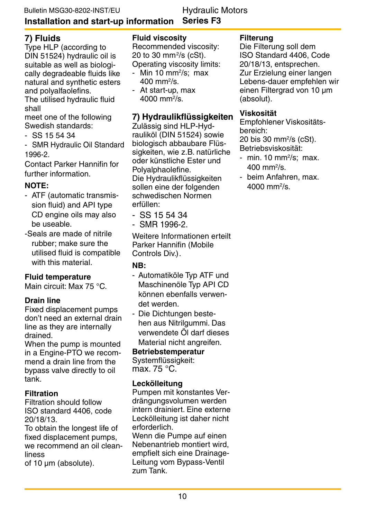### **Hydraulic Motors**

#### **Series F3 Installation and start-up information**

### **7)Fluids**

Type HLP (according to DIN 51524) hydraulic oil is suitable as well as biologically degradeable fluids like natural and synthetic esters and polyalfaolefins.

The utilised hydraulic fluid shall

meet one of the following Swedish standards:

- $-$  SS 155434
- SMR Hydraulic Oil Standard 1996-2.

Contact Parker Hannifin for further information.

#### **NOTE:**

- ATF (automatic transmission fluid) and API type CD engine oils may also be useable.
- -Seals are made of nitrile rubber; make sure the utilised fluid is compatible with this material.

#### **Fluid temperature**

Main circuit: Max 75 °C.

#### **Drain line**

Fixed displacement pumps don't need an external drain line as they are internally drained.

When the pump is mounted in a Engine-PTO we recommend a drain line from the bypass valve directly to oil tank.

#### **Filtration**

Filtration should follow ISO standard 4406, code 20/18/13.

To obtain the longest life of fixed displacement pumps. we recommend an oil cleanliness

of 10  $\mu$ m (absolute).

#### **Fluid viscosity**

Recommended viscosity: 20 to 30 mm²/s (cSt). Operating viscosity limits:

- Min 10 mm²/s; max 400mm<sup>2</sup> /s.
- At start-up, max 4000 mm²/s.

#### **7) Hydraulikflüssigkeiten**

Zulässig sind HLP-Hydrauliköl (DIN 51524) sowie biologisch abbaubare Flüssigkeiten, wie z.B. natürliche oder künstliche Ester und Polyalphaolefine. Die Hydraulikflüssigkeiten sollen eine der folgenden schwedischen Normen erfüllen:

- $-$  SS 155434
- $-$  SMR 1996-2.

Weitere Informationen erteilt Parker Hannifin (Mobile Controls Div.).

#### **NB:**

- Automatiköle Typ ATF und Maschinenöle Tvp API CD können ehenfalls verwendet werden.
- Die Dichtungen bestehen aus Nitrilgummi. Das verwendete Öl darf dieses Material nicht angreifen.

#### **Betriebstemperatur**

Systemflüssigkeit: max.75°C.

#### **Leckölleitung**

Pumpen mit konstantes Verdrängungsvolumen werden intern drainiert. Eine externe Leckölleitung ist daher nicht erforderlich.

Wenn die Pumpe auf einen Nebenantrieb montiert wird. empfielt sich eine Drainage-Leitung vom Bypass-Ventil zumTank.

#### **Filterung**

Die Filterung soll dem ISO Standard 4406, Code 20/18/13,entsprechen. Zur Erzielung einer langen Lebens-dauer empfehlen wir einen Filtergrad von 10 um (absolut).

#### **Viskosität**

Empfohlener Viskositätsbereich:

20bis30mm<sup>2</sup> /s(cSt). Betriebsviskosität:

- min. 10 mm<sup>2</sup>/s; max. 400mm<sup>2</sup> /s.
- beim Anfahren, max. 4000mm<sup>2</sup> /s.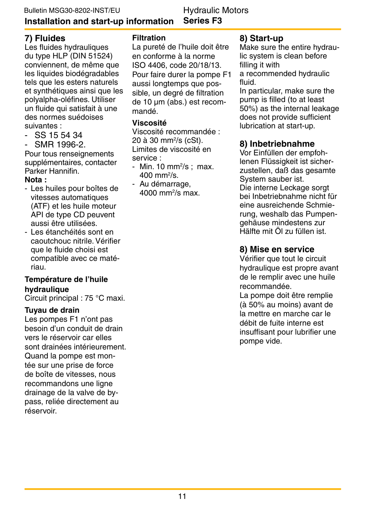#### Installation and start-up information

**Hydraulic Motors Series F3** 

#### 7) Fluides

Les fluides hydrauliques du type HLP (DIN 51524) conviennent, de même que les liquides biodégradables tels que les esters naturels et synthétiques ainsi que les polvalpha-oléfines. Utiliser un fluide qui satisfait à une des normes suédoises suivantes :

- SS 15 54 34
- SMR 1996-2.

Pour tous renseignements supplémentaires, contacter Parker Hannifin.

#### Nota ·

- Les huiles pour boîtes de vitesses automatiques (ATF) et les huile moteur API de type CD peuvent aussi être utilisées.
- Les étanchéités sont en caoutchouc nitrile. Vérifier que le fluide choisi est compatible avec ce matériau.

#### Température de l'huile hydraulique

Circuit principal : 75 °C maxi.

#### Tuyau de drain

Les pompes F1 n'ont pas besoin d'un conduit de drain vers le réservoir car elles sont drainées intérieurement. Quand la pompe est montée sur une prise de force de boîte de vitesses, nous recommandons une ligne drainage de la valve de bypass. reliée directement au réservoir

#### **Filtration**

La pureté de l'huile doit être en conforme à la norme ISO 4406, code 20/18/13. Pour faire durer la pompe F1 aussi longtemps que possible, un degré de filtration de 10 um (abs.) est recommandé

#### Viscosité

Viscosité recommandée : 20 à 30 mm<sup>2</sup>/s (cSt). Limites de viscosité en service ·

- Min. 10  $mm^2/s$ ; max.  $400 \text{ mm}^2/\text{s}$ .
- Au démarrage,  $4000$  mm<sup>2</sup>/s max.

#### 8) Start-up

Make sure the entire hydraulic system is clean before filling it with

a recommended hydraulic hiult

In particular, make sure the pump is filled (to at least 50%) as the internal leakage does not provide sufficient lubrication at start-up.

#### 8) Inbetriebnahme

Vor Einfüllen der empfohlenen Flüssigkeit ist sicherzustellen, daß das gesamte System sauber ist. Die interne Leckage sorgt bei Inbetriebnahme nicht für eine ausreichende Schmierung. weshalb das Pumpengehäuse mindestens zur Hälfte mit Öl zu füllen ist.

#### 8) Mise en service

Vérifier que tout le circuit hydraulique est propre avant de le remplir avec une huile recommandée

La pompe doit être remplie (à 50% au moins) avant de la mettre en marche car le débit de fuite interne est insuffisant pour lubrifier une pompe vide.